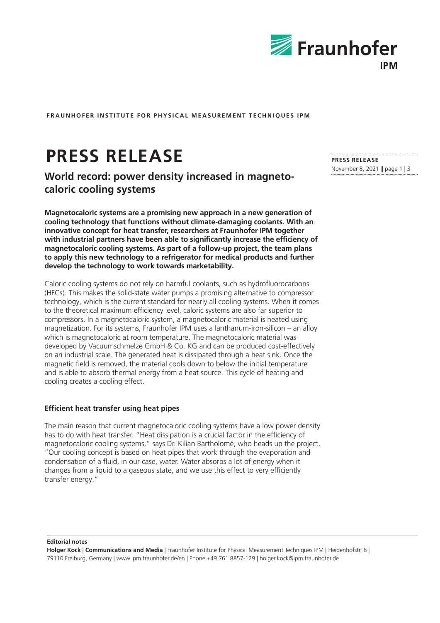

**FRAUNHOFER INSTITUTE FOR PHYSICAL MEASUREMENT TECHNIQUES IPM**

# **PRESS RELEASE**

**World record: power density increased in magnetocaloric cooling systems**

**Magnetocaloric systems are a promising new approach in a new generation of cooling technology that functions without climate-damaging coolants. With an innovative concept for heat transfer, researchers at Fraunhofer IPM together with industrial partners have been able to significantly increase the efficiency of magnetocaloric cooling systems. As part of a follow-up project, the team plans to apply this new technology to a refrigerator for medical products and further develop the technology to work towards marketability.**

Caloric cooling systems do not rely on harmful coolants, such as hydrofluorocarbons (HFCs). This makes the solid-state water pumps a promising alternative to compressor technology, which is the current standard for nearly all cooling systems. When it comes to the theoretical maximum efficiency level, caloric systems are also far superior to compressors. In a magnetocaloric system, a magnetocaloric material is heated using magnetization. For its systems, Fraunhofer IPM uses a lanthanum-iron-silicon – an alloy which is magnetocaloric at room temperature. The magnetocaloric material was developed by Vacuumschmelze GmbH & Co. KG and can be produced cost-effectively on an industrial scale. The generated heat is dissipated through a heat sink. Once the magnetic field is removed, the material cools down to below the initial temperature and is able to absorb thermal energy from a heat source. This cycle of heating and cooling creates a cooling effect.

# **Efficient heat transfer using heat pipes**

The main reason that current magnetocaloric cooling systems have a low power density has to do with heat transfer. "Heat dissipation is a crucial factor in the efficiency of magnetocaloric cooling systems," says Dr. Kilian Bartholomé, who heads up the project. "Our cooling concept is based on heat pipes that work through the evaporation and condensation of a fluid, in our case, water. Water absorbs a lot of energy when it changes from a liquid to a gaseous state, and we use this effect to very efficiently transfer energy."

**Editorial notes**

**Holger Kock** | **Communications and Media** | Fraunhofer Institute for Physical Measurement Techniques IPM | Heidenhofstr. 8 | 79110 Freiburg, Germany | www.ipm.fraunhofer.de/en | Phone +49 761 8857-129 | holger.kock@ipm.fraunhofer.de

**PRESS RELEASE** November 8, 2021 || page 1 | 3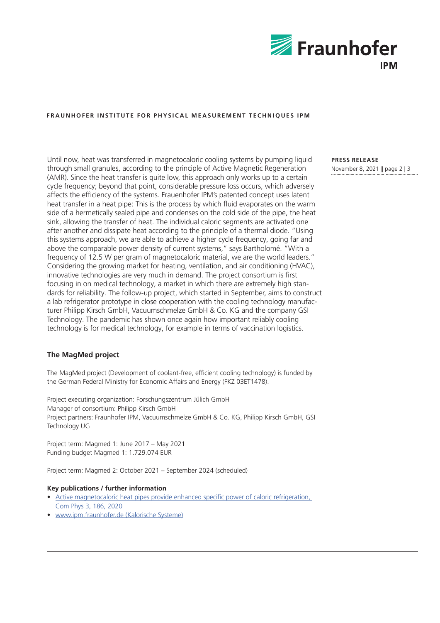

# **FRAUNHOFER INSTITUTE FOR PHYSICAL MEASUREMENT TECHNIQUES IPM**

Until now, heat was transferred in magnetocaloric cooling systems by pumping liquid through small granules, according to the principle of Active Magnetic Regeneration (AMR). Since the heat transfer is quite low, this approach only works up to a certain cycle frequency; beyond that point, considerable pressure loss occurs, which adversely affects the efficiency of the systems. Frauenhofer IPM's patented concept uses latent heat transfer in a heat pipe: This is the process by which fluid evaporates on the warm side of a hermetically sealed pipe and condenses on the cold side of the pipe, the heat sink, allowing the transfer of heat. The individual caloric segments are activated one after another and dissipate heat according to the principle of a thermal diode. "Using this systems approach, we are able to achieve a higher cycle frequency, going far and above the comparable power density of current systems," says Bartholomé. "With a frequency of 12.5 W per gram of magnetocaloric material, we are the world leaders." Considering the growing market for heating, ventilation, and air conditioning (HVAC), innovative technologies are very much in demand. The project consortium is first focusing in on medical technology, a market in which there are extremely high standards for reliability. The follow-up project, which started in September, aims to construct a lab refrigerator prototype in close cooperation with the cooling technology manufacturer Philipp Kirsch GmbH, Vacuumschmelze GmbH & Co. KG and the company GSI Technology. The pandemic has shown once again how important reliably cooling technology is for medical technology, for example in terms of vaccination logistics.

# **The MagMed project**

The MagMed project (Development of coolant-free, efficient cooling technology) is funded by the German Federal Ministry for Economic Affairs and Energy (FKZ 03ET1478).

Project executing organization: Forschungszentrum Jülich GmbH Manager of consortium: Philipp Kirsch GmbH Project partners: Fraunhofer IPM, Vacuumschmelze GmbH & Co. KG, Philipp Kirsch GmbH, GSI Technology UG

Project term: Magmed 1: June 2017 – May 2021 Funding budget Magmed 1: 1.729.074 EUR

Project term: Magmed 2: October 2021 – September 2024 (scheduled)

## **Key publications / further information**

- [Active magnetocaloric heat pipes provide enhanced specific power of caloric refrigeration,](https://www.nature.com/articles/s42005-020-00450-x)  [Com Phys 3, 186, 2020](https://www.nature.com/articles/s42005-020-00450-x)
- [www.ipm.fraunhofer.de \(Kalorische Systeme\)](https://www.ipm.fraunhofer.de/en)

**PRESS RELEASE** November 8, 2021 || page 2 | 3